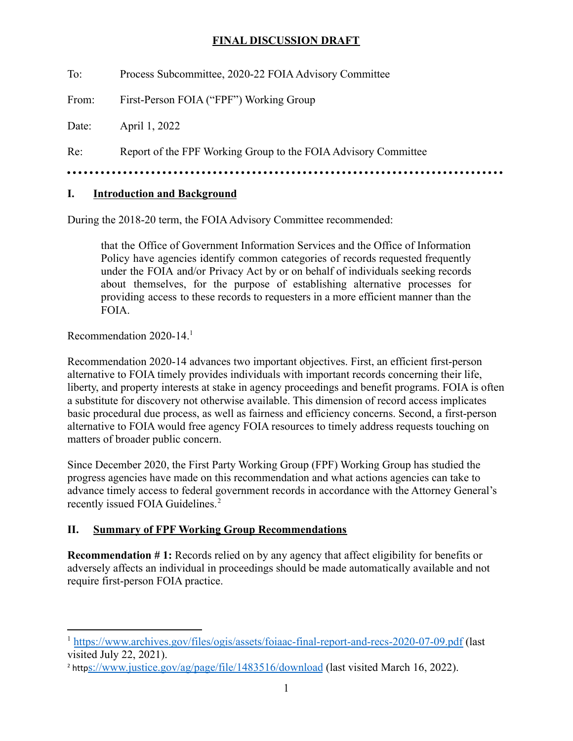To: Process Subcommittee, 2020-22 FOIA Advisory Committee

From: First-Person FOIA ("FPF") Working Group

Date: April 1, 2022

Re: Report of the FPF Working Group to the FOIA Advisory Committee

••••••••••••••••••••••••••••••••••••••••••••••••••••••••••••••••••••••••••••••

#### **I. Introduction and Background**

During the 2018-20 term, the FOIA Advisory Committee recommended:

that the Office of Government Information Services and the Office of Information Policy have agencies identify common categories of records requested frequently under the FOIA and/or Privacy Act by or on behalf of individuals seeking records about themselves, for the purpose of establishing alternative processes for providing access to these records to requesters in a more efficient manner than the FOIA.

Recommendation 2020-14.1

Recommendation 2020-14 advances two important objectives. First, an efficient first-person alternative to FOIA timely provides individuals with important records concerning their life, liberty, and property interests at stake in agency proceedings and benefit programs. FOIA is often a substitute for discovery not otherwise available. This dimension of record access implicates basic procedural due process, as well as fairness and efficiency concerns. Second, a first-person alternative to FOIA would free agency FOIA resources to timely address requests touching on matters of broader public concern.

Since December 2020, the First Party Working Group (FPF) Working Group has studied the progress agencies have made on this recommendation and what actions agencies can take to advance timely access to federal government records in accordance with the Attorney General's recently issued FOIA Guidelines.<sup>2</sup>

### **II. Summary of FPF Working Group Recommendations**

**Recommendation # 1:** Records relied on by any agency that affect eligibility for benefits or adversely affects an individual in proceedings should be made automatically available and not require first-person FOIA practice.

<sup>1</sup> <https://www.archives.gov/files/ogis/assets/foiaac-final-report-and-recs-2020-07-09.pdf> (last visited July 22, 2021).

<sup>&</sup>lt;sup>2</sup> http[s://www.justice.gov/ag/page/file/1483516/download](https://www.justice.gov/ag/page/file/1483516/download) (last visited March 16, 2022).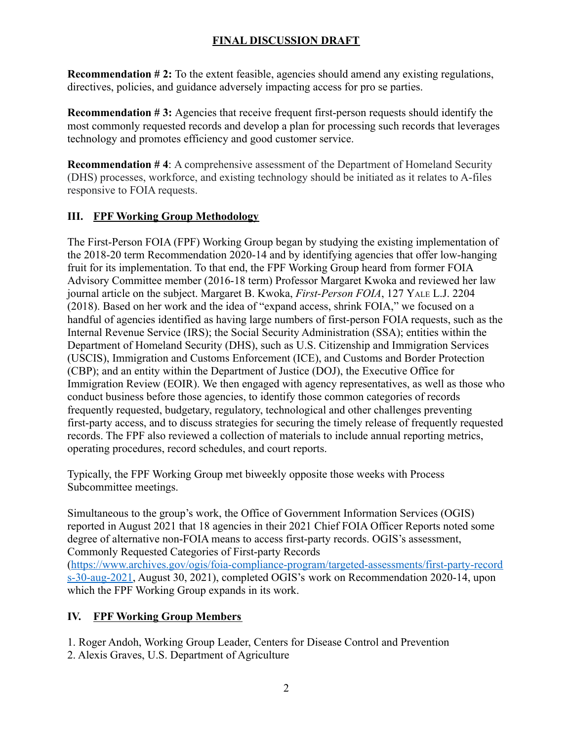**Recommendation # 2:** To the extent feasible, agencies should amend any existing regulations, directives, policies, and guidance adversely impacting access for pro se parties.

**Recommendation #3:** Agencies that receive frequent first-person requests should identify the most commonly requested records and develop a plan for processing such records that leverages technology and promotes efficiency and good customer service.

**Recommendation #4:** A comprehensive assessment of the Department of Homeland Security (DHS) processes, workforce, and existing technology should be initiated as it relates to A-files responsive to FOIA requests.

### **III. FPF Working Group Methodology**

The First-Person FOIA (FPF) Working Group began by studying the existing implementation of the 2018-20 term Recommendation 2020-14 and by identifying agencies that offer low-hanging fruit for its implementation. To that end, the FPF Working Group heard from former FOIA Advisory Committee member (2016-18 term) Professor Margaret Kwoka and reviewed her law journal article on the subject. Margaret B. Kwoka, *First-Person FOIA*, 127 YALE L.J. 2204 (2018). Based on her work and the idea of "expand access, shrink FOIA," we focused on a handful of agencies identified as having large numbers of first-person FOIA requests, such as the Internal Revenue Service (IRS); the Social Security Administration (SSA); entities within the Department of Homeland Security (DHS), such as U.S. Citizenship and Immigration Services (USCIS), Immigration and Customs Enforcement (ICE), and Customs and Border Protection (CBP); and an entity within the Department of Justice (DOJ), the Executive Office for Immigration Review (EOIR). We then engaged with agency representatives, as well as those who conduct business before those agencies, to identify those common categories of records frequently requested, budgetary, regulatory, technological and other challenges preventing first-party access, and to discuss strategies for securing the timely release of frequently requested records. The FPF also reviewed a collection of materials to include annual reporting metrics, operating procedures, record schedules, and court reports.

Typically, the FPF Working Group met biweekly opposite those weeks with Process Subcommittee meetings.

Simultaneous to the group's work, the Office of Government Information Services (OGIS) reported in August 2021 that 18 agencies in their 2021 Chief FOIA Officer Reports noted some degree of alternative non-FOIA means to access first-party records. OGIS's assessment, Commonly Requested Categories of First-party Records [\(https://www.archives.gov/ogis/foia-compliance-program/targeted-assessments/first-party-record](https://www.archives.gov/ogis/foia-compliance-program/targeted-assessments/first-party-records-30-aug-2021) [s-30-aug-2021,](https://www.archives.gov/ogis/foia-compliance-program/targeted-assessments/first-party-records-30-aug-2021) August 30, 2021), completed OGIS's work on Recommendation 2020-14, upon which the FPF Working Group expands in its work.

### **IV. FPF Working Group Members**

- 1. Roger Andoh, Working Group Leader, Centers for Disease Control and Prevention
- 2. Alexis Graves, U.S. Department of Agriculture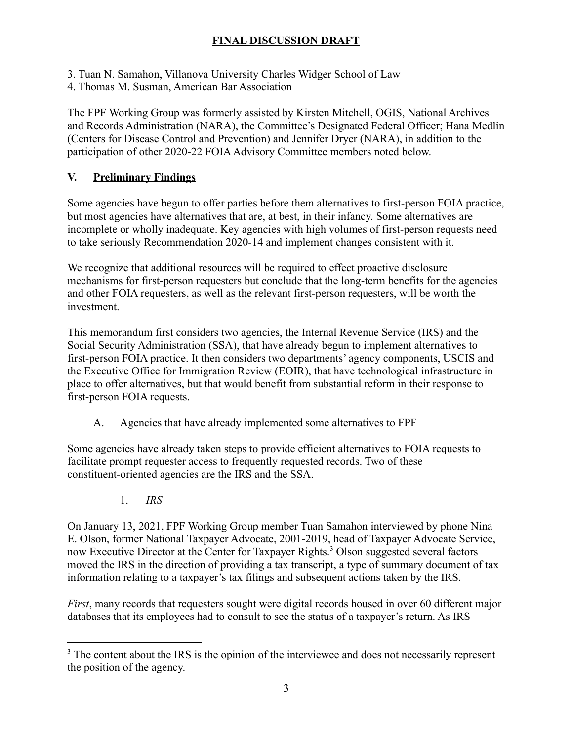- 3. Tuan N. Samahon, Villanova University Charles Widger School of Law
- 4. Thomas M. Susman, American Bar Association

The FPF Working Group was formerly assisted by Kirsten Mitchell, OGIS, National Archives and Records Administration (NARA), the Committee's Designated Federal Officer; Hana Medlin (Centers for Disease Control and Prevention) and Jennifer Dryer (NARA), in addition to the participation of other 2020-22 FOIA Advisory Committee members noted below.

#### **V. Preliminary Findings**

Some agencies have begun to offer parties before them alternatives to first-person FOIA practice, but most agencies have alternatives that are, at best, in their infancy. Some alternatives are incomplete or wholly inadequate. Key agencies with high volumes of first-person requests need to take seriously Recommendation 2020-14 and implement changes consistent with it.

We recognize that additional resources will be required to effect proactive disclosure mechanisms for first-person requesters but conclude that the long-term benefits for the agencies and other FOIA requesters, as well as the relevant first-person requesters, will be worth the investment.

This memorandum first considers two agencies, the Internal Revenue Service (IRS) and the Social Security Administration (SSA), that have already begun to implement alternatives to first-person FOIA practice. It then considers two departments' agency components, USCIS and the Executive Office for Immigration Review (EOIR), that have technological infrastructure in place to offer alternatives, but that would benefit from substantial reform in their response to first-person FOIA requests.

A. Agencies that have already implemented some alternatives to FPF

Some agencies have already taken steps to provide efficient alternatives to FOIA requests to facilitate prompt requester access to frequently requested records. Two of these constituent-oriented agencies are the IRS and the SSA.

1. *IRS*

On January 13, 2021, FPF Working Group member Tuan Samahon interviewed by phone Nina E. Olson, former National Taxpayer Advocate, 2001-2019, head of Taxpayer Advocate Service, now Executive Director at the Center for Taxpayer Rights.<sup>3</sup> Olson suggested several factors moved the IRS in the direction of providing a tax transcript, a type of summary document of tax information relating to a taxpayer's tax filings and subsequent actions taken by the IRS.

*First*, many records that requesters sought were digital records housed in over 60 different major databases that its employees had to consult to see the status of a taxpayer's return. As IRS

<sup>&</sup>lt;sup>3</sup> The content about the IRS is the opinion of the interviewee and does not necessarily represent the position of the agency.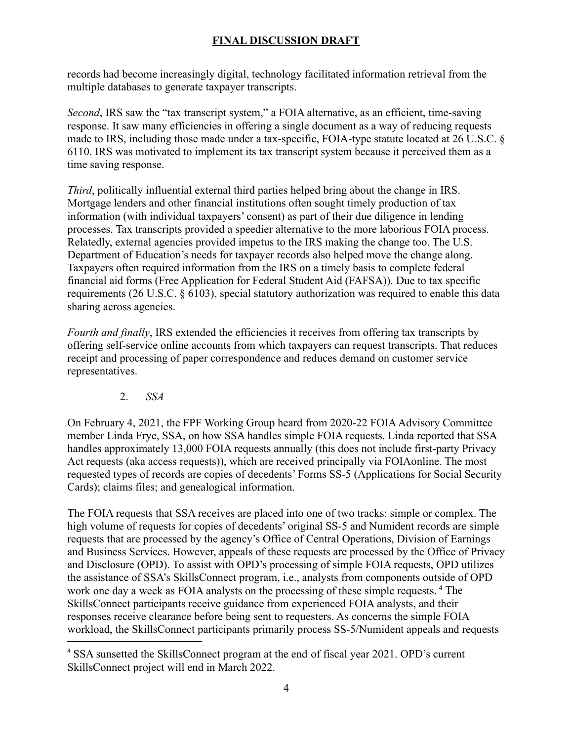records had become increasingly digital, technology facilitated information retrieval from the multiple databases to generate taxpayer transcripts.

*Second*, IRS saw the "tax transcript system," a FOIA alternative, as an efficient, time-saving response. It saw many efficiencies in offering a single document as a way of reducing requests made to IRS, including those made under a tax-specific, FOIA-type statute located at 26 U.S.C. § 6110. IRS was motivated to implement its tax transcript system because it perceived them as a time saving response.

*Third*, politically influential external third parties helped bring about the change in IRS. Mortgage lenders and other financial institutions often sought timely production of tax information (with individual taxpayers' consent) as part of their due diligence in lending processes. Tax transcripts provided a speedier alternative to the more laborious FOIA process. Relatedly, external agencies provided impetus to the IRS making the change too. The U.S. Department of Education's needs for taxpayer records also helped move the change along. Taxpayers often required information from the IRS on a timely basis to complete federal financial aid forms (Free Application for Federal Student Aid (FAFSA)). Due to tax specific requirements (26 U.S.C. § 6103), special statutory authorization was required to enable this data sharing across agencies.

*Fourth and finally*, IRS extended the efficiencies it receives from offering tax transcripts by offering self-service online accounts from which taxpayers can request transcripts. That reduces receipt and processing of paper correspondence and reduces demand on customer service representatives.

#### 2. *SSA*

On February 4, 2021, the FPF Working Group heard from 2020-22 FOIA Advisory Committee member Linda Frye, SSA, on how SSA handles simple FOIA requests. Linda reported that SSA handles approximately 13,000 FOIA requests annually (this does not include first-party Privacy Act requests (aka access requests)), which are received principally via FOIAonline. The most requested types of records are copies of decedents' Forms SS-5 (Applications for Social Security Cards); claims files; and genealogical information.

The FOIA requests that SSA receives are placed into one of two tracks: simple or complex. The high volume of requests for copies of decedents' original SS-5 and Numident records are simple requests that are processed by the agency's Office of Central Operations, Division of Earnings and Business Services. However, appeals of these requests are processed by the Office of Privacy and Disclosure (OPD). To assist with OPD's processing of simple FOIA requests, OPD utilizes the assistance of SSA's SkillsConnect program, i.e., analysts from components outside of OPD work one day a week as FOIA analysts on the processing of these simple requests.<sup>4</sup> The SkillsConnect participants receive guidance from experienced FOIA analysts, and their responses receive clearance before being sent to requesters. As concerns the simple FOIA workload, the SkillsConnect participants primarily process SS-5/Numident appeals and requests

<sup>4</sup> SSA sunsetted the SkillsConnect program at the end of fiscal year 2021. OPD's current SkillsConnect project will end in March 2022.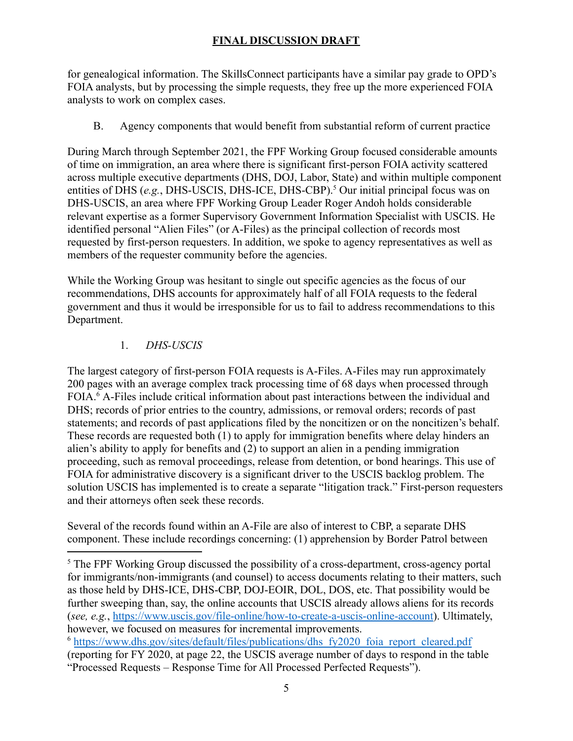for genealogical information. The SkillsConnect participants have a similar pay grade to OPD's FOIA analysts, but by processing the simple requests, they free up the more experienced FOIA analysts to work on complex cases.

B. Agency components that would benefit from substantial reform of current practice

During March through September 2021, the FPF Working Group focused considerable amounts of time on immigration, an area where there is significant first-person FOIA activity scattered across multiple executive departments (DHS, DOJ, Labor, State) and within multiple component entities of DHS (*e.g.*, DHS-USCIS, DHS-ICE, DHS-CBP).<sup>5</sup> Our initial principal focus was on DHS-USCIS, an area where FPF Working Group Leader Roger Andoh holds considerable relevant expertise as a former Supervisory Government Information Specialist with USCIS. He identified personal "Alien Files" (or A-Files) as the principal collection of records most requested by first-person requesters. In addition, we spoke to agency representatives as well as members of the requester community before the agencies.

While the Working Group was hesitant to single out specific agencies as the focus of our recommendations, DHS accounts for approximately half of all FOIA requests to the federal government and thus it would be irresponsible for us to fail to address recommendations to this Department.

### 1. *DHS-USCIS*

The largest category of first-person FOIA requests is A-Files. A-Files may run approximately 200 pages with an average complex track processing time of 68 days when processed through FOIA.6 A-Files include critical information about past interactions between the individual and DHS; records of prior entries to the country, admissions, or removal orders; records of past statements; and records of past applications filed by the noncitizen or on the noncitizen's behalf. These records are requested both (1) to apply for immigration benefits where delay hinders an alien's ability to apply for benefits and (2) to support an alien in a pending immigration proceeding, such as removal proceedings, release from detention, or bond hearings. This use of FOIA for administrative discovery is a significant driver to the USCIS backlog problem. The solution USCIS has implemented is to create a separate "litigation track." First-person requesters and their attorneys often seek these records.

Several of the records found within an A-File are also of interest to CBP, a separate DHS component. These include recordings concerning: (1) apprehension by Border Patrol between

<sup>&</sup>lt;sup>5</sup> The FPF Working Group discussed the possibility of a cross-department, cross-agency portal for immigrants/non-immigrants (and counsel) to access documents relating to their matters, such as those held by DHS-ICE, DHS-CBP, DOJ-EOIR, DOL, DOS, etc. That possibility would be further sweeping than, say, the online accounts that USCIS already allows aliens for its records (*see, e.g.*, <https://www.uscis.gov/file-online/how-to-create-a-uscis-online-account>). Ultimately, however, we focused on measures for incremental improvements.

<sup>&</sup>lt;sup>6</sup> https://www.dhs.gov/sites/default/files/publications/dhs fy2020 foia report cleared.pdf (reporting for FY 2020, at page 22, the USCIS average number of days to respond in the table "Processed Requests – Response Time for All Processed Perfected Requests").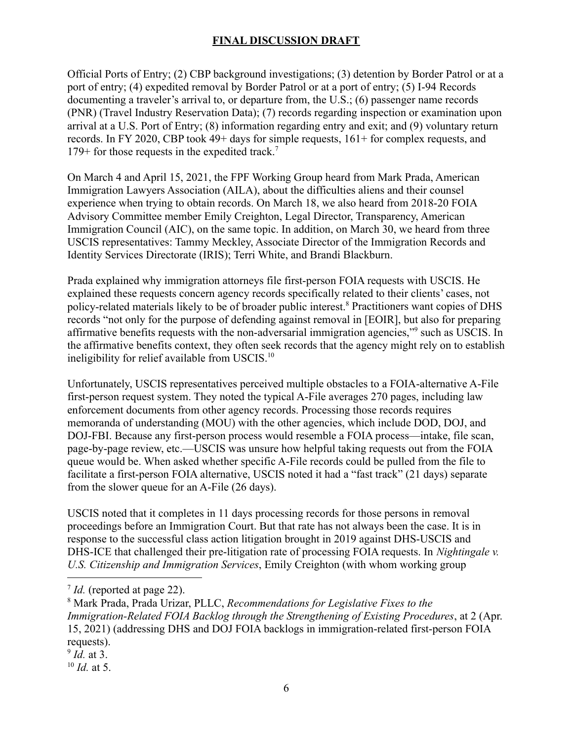Official Ports of Entry; (2) CBP background investigations; (3) detention by Border Patrol or at a port of entry; (4) expedited removal by Border Patrol or at a port of entry; (5) I-94 Records documenting a traveler's arrival to, or departure from, the U.S.; (6) passenger name records (PNR) (Travel Industry Reservation Data); (7) records regarding inspection or examination upon arrival at a U.S. Port of Entry; (8) information regarding entry and exit; and (9) voluntary return records. In FY 2020, CBP took 49+ days for simple requests, 161+ for complex requests, and 179+ for those requests in the expedited track.<sup>7</sup>

On March 4 and April 15, 2021, the FPF Working Group heard from Mark Prada, American Immigration Lawyers Association (AILA), about the difficulties aliens and their counsel experience when trying to obtain records. On March 18, we also heard from 2018-20 FOIA Advisory Committee member Emily Creighton, Legal Director, Transparency, American Immigration Council (AIC), on the same topic. In addition, on March 30, we heard from three USCIS representatives: Tammy Meckley, Associate Director of the Immigration Records and Identity Services Directorate (IRIS); Terri White, and Brandi Blackburn.

Prada explained why immigration attorneys file first-person FOIA requests with USCIS. He explained these requests concern agency records specifically related to their clients' cases, not policy-related materials likely to be of broader public interest.8 Practitioners want copies of DHS records "not only for the purpose of defending against removal in [EOIR], but also for preparing affirmative benefits requests with the non-adversarial immigration agencies,"9 such as USCIS. In the affirmative benefits context, they often seek records that the agency might rely on to establish ineligibility for relief available from USCIS.<sup>10</sup>

Unfortunately, USCIS representatives perceived multiple obstacles to a FOIA-alternative A-File first-person request system. They noted the typical A-File averages 270 pages, including law enforcement documents from other agency records. Processing those records requires memoranda of understanding (MOU) with the other agencies, which include DOD, DOJ, and DOJ-FBI. Because any first-person process would resemble a FOIA process—intake, file scan, page-by-page review, etc.—USCIS was unsure how helpful taking requests out from the FOIA queue would be. When asked whether specific A-File records could be pulled from the file to facilitate a first-person FOIA alternative, USCIS noted it had a "fast track" (21 days) separate from the slower queue for an A-File (26 days).

USCIS noted that it completes in 11 days processing records for those persons in removal proceedings before an Immigration Court. But that rate has not always been the case. It is in response to the successful class action litigation brought in 2019 against DHS-USCIS and DHS-ICE that challenged their pre-litigation rate of processing FOIA requests. In *Nightingale v. U.S. Citizenship and Immigration Services*, Emily Creighton (with whom working group

<sup>10</sup> *Id.* at 5.

<sup>7</sup> *Id.* (reported at page 22).

<sup>8</sup> Mark Prada, Prada Urizar, PLLC, *Recommendations for Legislative Fixes to the Immigration-Related FOIA Backlog through the Strengthening of Existing Procedures*, at 2 (Apr. 15, 2021) (addressing DHS and DOJ FOIA backlogs in immigration-related first-person FOIA requests).

<sup>9</sup> *Id.* at 3.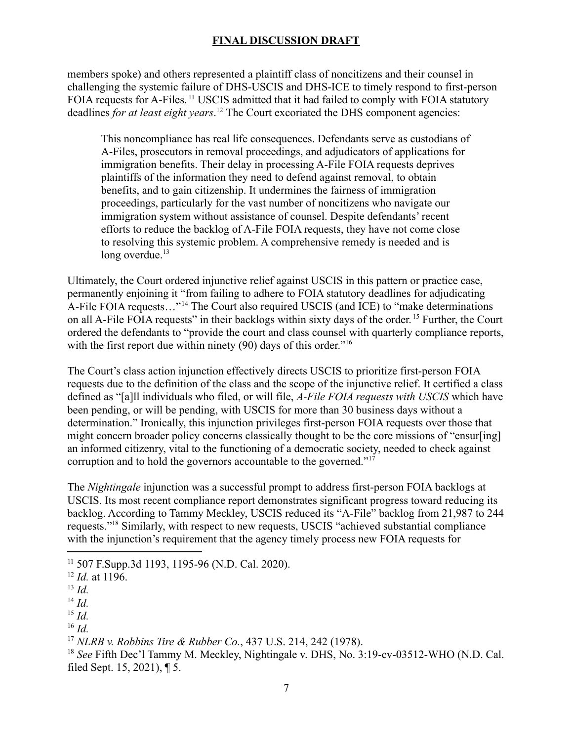members spoke) and others represented a plaintiff class of noncitizens and their counsel in challenging the systemic failure of DHS-USCIS and DHS-ICE to timely respond to first-person FOIA requests for [A-Files.](https://A-Files.11)<sup>11</sup> USCIS admitted that it had failed to comply with FOIA statutory deadlines *for at least eight [years](https://years.12)*. <sup>12</sup> The Court excoriated the DHS component agencies:

This noncompliance has real life consequences. Defendants serve as custodians of A-Files, prosecutors in removal proceedings, and adjudicators of applications for immigration benefits. Their delay in processing A-File FOIA requests deprives plaintiffs of the information they need to defend against removal, to obtain benefits, and to gain citizenship. It undermines the fairness of immigration proceedings, particularly for the vast number of noncitizens who navigate our immigration system without assistance of counsel. Despite defendants' recent efforts to reduce the backlog of A-File FOIA requests, they have not come close to resolving this systemic problem. A comprehensive remedy is needed and is long overdue.<sup>13</sup>

Ultimately, the Court ordered injunctive relief against USCIS in this pattern or practice case, permanently enjoining it "from failing to adhere to FOIA statutory deadlines for adjudicating A-File FOIA requests…"14 The Court also required USCIS (and ICE) to "make determinations on all A-File FOIA requests" in their backlogs within sixty days of the [order.](https://order.15) <sup>15</sup> Further, the Court ordered the defendants to "provide the court and class counsel with quarterly compliance reports, with the first report due within ninety (90) days of this order."<sup>16</sup>

The Court's class action injunction effectively directs USCIS to prioritize first-person FOIA requests due to the definition of the class and the scope of the injunctive relief. It certified a class defined as "[a]ll individuals who filed, or will file, *A-File FOIA requests with USCIS* which have been pending, or will be pending, with USCIS for more than 30 business days without a determination." Ironically, this injunction privileges first-person FOIA requests over those that might concern broader policy concerns classically thought to be the core missions of "ensur[ing] an informed citizenry, vital to the functioning of a democratic society, needed to check against corruption and to hold the governors accountable to the governed."17

The *Nightingale* injunction was a successful prompt to address first-person FOIA backlogs at USCIS. Its most recent compliance report demonstrates significant progress toward reducing its backlog. According to Tammy Meckley, USCIS reduced its "A-File" backlog from 21,987 to 244 requests."18 Similarly, with respect to new requests, USCIS "achieved substantial compliance with the injunction's requirement that the agency timely process new FOIA requests for

<sup>11</sup> 507 [F.Supp.3d](https://F.Supp.3d) 1193, 1195-96 (N.D. Cal. 2020).

<sup>12</sup> *Id.* at 1196.

<sup>13</sup> *Id.*

<sup>14</sup> *Id.*

<sup>15</sup> *Id.*

<sup>16</sup> *Id.*

<sup>17</sup> *NLRB v. Robbins Tire & Rubber Co.*, 437 U.S. 214, 242 (1978).

<sup>18</sup> *See* Fifth Dec'l Tammy M. Meckley, Nightingale v. DHS, No. 3:19-cv-03512-WHO (N.D. Cal. filed Sept. 15, 2021), ¶ 5.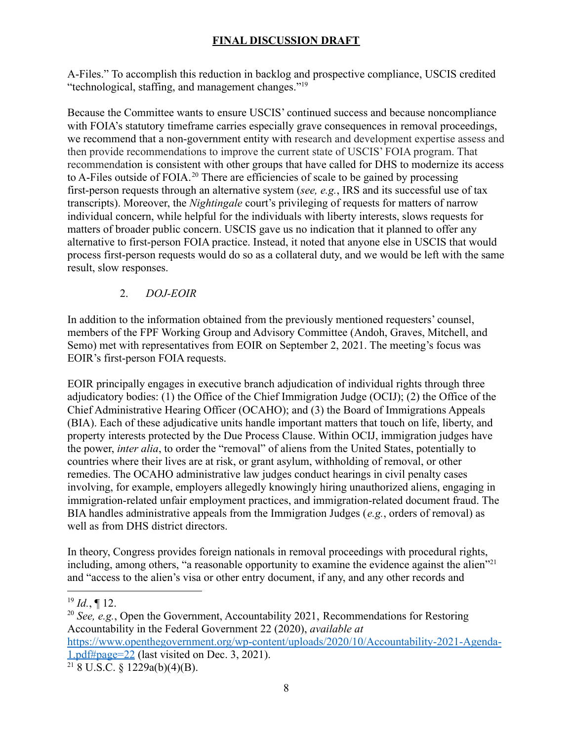A-Files." To accomplish this reduction in backlog and prospective compliance, USCIS credited "technological, staffing, and management changes."19

Because the Committee wants to ensure USCIS' continued success and because noncompliance with FOIA's statutory timeframe carries especially grave consequences in removal proceedings, we recommend that a non-government entity with research and development expertise assess and then provide recommendations to improve the current state of USCIS' FOIA program. That recommendation is consistent with other groups that have called for DHS to modernize its access to A-Files outside of FOIA.<sup>20</sup> There are efficiencies of scale to be gained by processing first-person requests through an alternative system (*see, e.g.*, IRS and its successful use of tax transcripts). Moreover, the *Nightingale* court's privileging of requests for matters of narrow individual concern, while helpful for the individuals with liberty interests, slows requests for matters of broader public concern. USCIS gave us no indication that it planned to offer any alternative to first-person FOIA practice. Instead, it noted that anyone else in USCIS that would process first-person requests would do so as a collateral duty, and we would be left with the same result, slow responses.

### 2. *DOJ-EOIR*

In addition to the information obtained from the previously mentioned requesters' counsel, members of the FPF Working Group and Advisory Committee (Andoh, Graves, Mitchell, and Semo) met with representatives from EOIR on September 2, 2021. The meeting's focus was EOIR's first-person FOIA requests.

EOIR principally engages in executive branch adjudication of individual rights through three adjudicatory bodies: (1) the Office of the Chief Immigration Judge (OCIJ); (2) the Office of the Chief Administrative Hearing Officer (OCAHO); and (3) the Board of Immigrations Appeals (BIA). Each of these adjudicative units handle important matters that touch on life, liberty, and property interests protected by the Due Process Clause. Within OCIJ, immigration judges have the power, *inter alia*, to order the "removal" of aliens from the United States, potentially to countries where their lives are at risk, or grant asylum, withholding of removal, or other remedies. The OCAHO administrative law judges conduct hearings in civil penalty cases involving, for example, employers allegedly knowingly hiring unauthorized aliens, engaging in immigration-related unfair employment practices, and immigration-related document fraud. The BIA handles administrative appeals from the Immigration Judges (*e.g.*, orders of removal) as well as from DHS district directors.

In theory, Congress provides foreign nationals in removal proceedings with procedural rights, including, among others, "a reasonable opportunity to examine the evidence against the alien"<sup>21</sup> and "access to the alien's visa or other entry document, if any, and any other records and

<sup>20</sup> *See, e.g.*, Open the Government, Accountability 2021, Recommendations for Restoring Accountability in the Federal Government 22 (2020), *available at* [https://www.openthegovernment.org/wp-content/uploads/2020/10/Accountability-2021-Agenda-](https://www.openthegovernment.org/wp-content/uploads/2020/10/Accountability-2021-Agenda-1.pdf#page=22)

[1.pdf#page=22](https://www.openthegovernment.org/wp-content/uploads/2020/10/Accountability-2021-Agenda-1.pdf#page=22) (last visited on Dec. 3, 2021).

 $218$  U.S.C. § 1229a(b)(4)(B).

 $^{19}$  *Id.*, ¶ 12.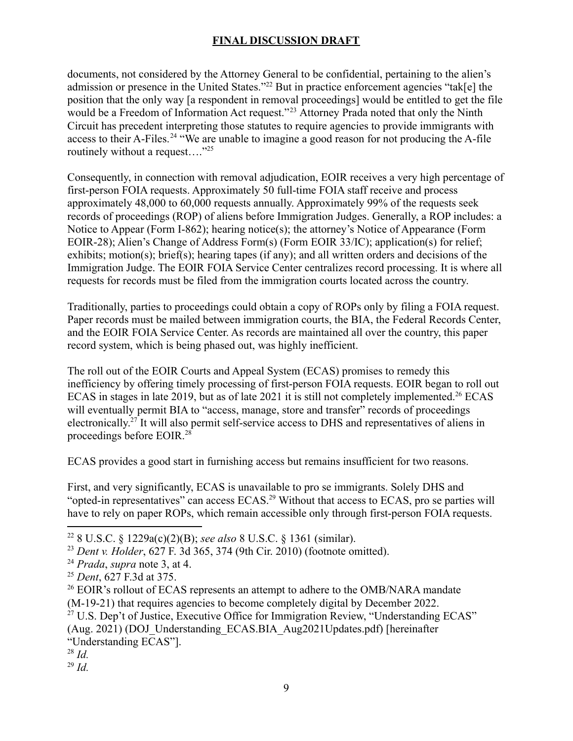documents, not considered by the Attorney General to be confidential, pertaining to the alien's admission or presence in the United States."22 But in practice enforcement agencies "tak[e] the position that the only way [a respondent in removal proceedings] would be entitled to get the file would be a Freedom of Information Act request."<sup>23</sup> Attorney Prada noted that only the Ninth Circuit has precedent interpreting those statutes to require agencies to provide immigrants with access to their A-Files.<sup>24</sup> "We are unable to imagine a good reason for not producing the A-file routinely without a request…."25

Consequently, in connection with removal adjudication, EOIR receives a very high percentage of first-person FOIA requests. Approximately 50 full-time FOIA staff receive and process approximately 48,000 to 60,000 requests annually. Approximately 99% of the requests seek records of proceedings (ROP) of aliens before Immigration Judges. Generally, a ROP includes: a Notice to Appear (Form I-862); hearing notice(s); the attorney's Notice of Appearance (Form EOIR-28); Alien's Change of Address Form(s) (Form EOIR 33/IC); application(s) for relief; exhibits; motion(s); brief(s); hearing tapes (if any); and all written orders and decisions of the Immigration Judge. The EOIR FOIA Service Center centralizes record processing. It is where all requests for records must be filed from the immigration courts located across the country.

Traditionally, parties to proceedings could obtain a copy of ROPs only by filing a FOIA request. Paper records must be mailed between immigration courts, the BIA, the Federal Records Center, and the EOIR FOIA Service Center. As records are maintained all over the country, this paper record system, which is being phased out, was highly inefficient.

The roll out of the EOIR Courts and Appeal System (ECAS) promises to remedy this inefficiency by offering timely processing of first-person FOIA requests. EOIR began to roll out ECAS in stages in late 2019, but as of late 2021 it is still not completely implemented.<sup>26</sup> ECAS will eventually permit BIA to "access, manage, store and transfer" records of proceedings [electronically.27](https://electronically.27) It will also permit self-service access to DHS and representatives of aliens in proceedings before EOIR.28

ECAS provides a good start in furnishing access but remains insufficient for two reasons.

First, and very significantly, ECAS is unavailable to pro se immigrants. Solely DHS and "opted-in representatives" can access ECAS.<sup>29</sup> Without that access to ECAS, pro se parties will have to rely on paper ROPs, which remain accessible only through first-person FOIA requests.

<sup>22</sup> 8 U.S.C. § 1229a(c)(2)(B); *see also* 8 U.S.C. § 1361 (similar).

<sup>23</sup> *Dent v. Holder*, 627 F. 3d 365, 374 (9th Cir. 2010) (footnote omitted).

<sup>24</sup> *Prada*, *supra* note 3, at 4.

<sup>25</sup> *Dent*, 627 F.3d at 375.

<sup>&</sup>lt;sup>26</sup> EOIR's rollout of ECAS represents an attempt to adhere to the OMB/NARA mandate (M-19-21) that requires agencies to become completely digital by December 2022.

 $27$  U.S. Dep't of Justice, Executive Office for Immigration Review, "Understanding ECAS" (Aug. 2021) (DOJ\_Understanding\_ECAS.BIA\_Aug2021Updates.pdf) [hereinafter "Understanding ECAS"].

<sup>28</sup> *Id.*

<sup>29</sup> *Id.*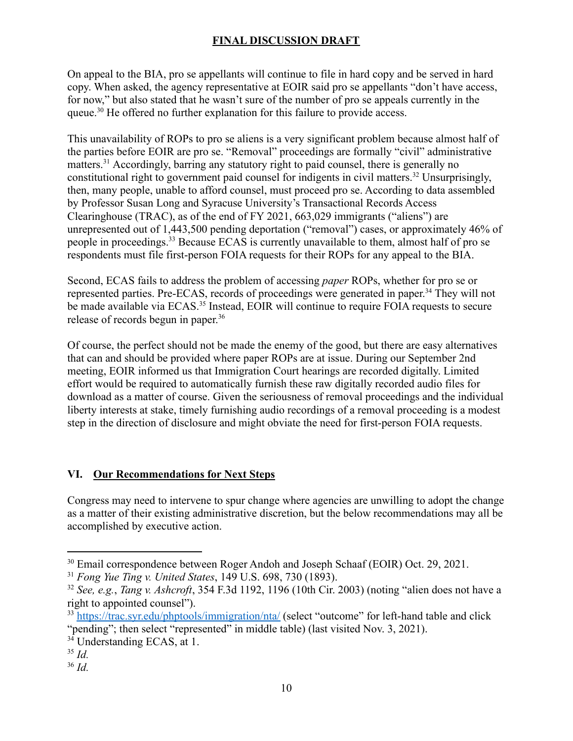On appeal to the BIA, pro se appellants will continue to file in hard copy and be served in hard copy. When asked, the agency representative at EOIR said pro se appellants "don't have access, for now," but also stated that he wasn't sure of the number of pro se appeals currently in the queue.<sup>30</sup> He offered no further explanation for this failure to provide access.

This unavailability of ROPs to pro se aliens is a very significant problem because almost half of the parties before EOIR are pro se. "Removal" proceedings are formally "civil" administrative matters.<sup>31</sup> Accordingly, barring any statutory right to paid counsel, there is generally no constitutional right to government paid counsel for indigents in civil [matters.32](https://matters.32) Unsurprisingly, then, many people, unable to afford counsel, must proceed pro se. According to data assembled by Professor Susan Long and Syracuse University's Transactional Records Access Clearinghouse (TRAC), as of the end of FY 2021, 663,029 immigrants ("aliens") are unrepresented out of 1,443,500 pending deportation ("removal") cases, or approximately 46% of people in [proceedings.33](https://proceedings.33) Because ECAS is currently unavailable to them, almost half of pro se respondents must file first-person FOIA requests for their ROPs for any appeal to the BIA.

Second, ECAS fails to address the problem of accessing *paper* ROPs, whether for pro se or represented parties. Pre-ECAS, records of proceedings were generated in paper.<sup>34</sup> They will not be made available via ECAS.<sup>35</sup> Instead, EOIR will continue to require FOIA requests to secure release of records begun in paper.<sup>36</sup>

Of course, the perfect should not be made the enemy of the good, but there are easy alternatives that can and should be provided where paper ROPs are at issue. During our September 2nd meeting, EOIR informed us that Immigration Court hearings are recorded digitally. Limited effort would be required to automatically furnish these raw digitally recorded audio files for download as a matter of course. Given the seriousness of removal proceedings and the individual liberty interests at stake, timely furnishing audio recordings of a removal proceeding is a modest step in the direction of disclosure and might obviate the need for first-person FOIA requests.

### **VI. Our Recommendations for Next Steps**

Congress may need to intervene to spur change where agencies are unwilling to adopt the change as a matter of their existing administrative discretion, but the below recommendations may all be accomplished by executive action.

<sup>&</sup>lt;sup>30</sup> Email correspondence between Roger Andoh and Joseph Schaaf (EOIR) Oct. 29, 2021.

<sup>31</sup> *Fong Yue Ting v. United States*, 149 U.S. 698, 730 (1893).

<sup>32</sup> *See, e.g.*, *Tang v. Ashcroft*, 354 F.3d 1192, 1196 (10th Cir. 2003) (noting "alien does not have a right to appointed counsel").

<sup>&</sup>lt;sup>33</sup> <https://trac.syr.edu/phptools/immigration/nta/> (select "outcome" for left-hand table and click "pending"; then select "represented" in middle table) (last visited Nov. 3, 2021).

<sup>&</sup>lt;sup>34</sup> Understanding ECAS, at 1.

<sup>35</sup> *Id.*

<sup>36</sup> *Id.*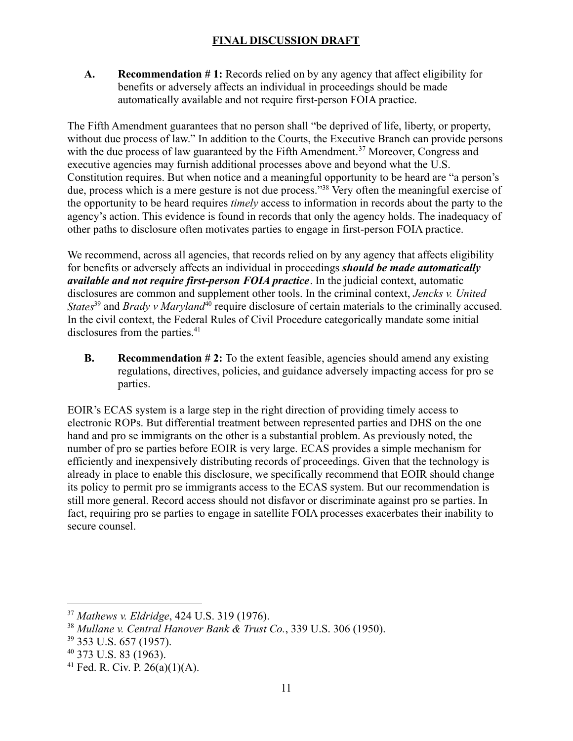**A. Recommendation # 1:** Records relied on by any agency that affect eligibility for benefits or adversely affects an individual in proceedings should be made automatically available and not require first-person FOIA practice.

The Fifth Amendment guarantees that no person shall "be deprived of life, liberty, or property, without due process of law." In addition to the Courts, the Executive Branch can provide persons with the due process of law guaranteed by the Fifth [Amendment.](https://Amendment.37)<sup>37</sup> Moreover, Congress and executive agencies may furnish additional processes above and beyond what the U.S. Constitution requires. But when notice and a meaningful opportunity to be heard are "a person's due, process which is a mere gesture is not due process."<sup>38</sup> Very often the meaningful exercise of the opportunity to be heard requires *timely* access to information in records about the party to the agency's action. This evidence is found in records that only the agency holds. The inadequacy of other paths to disclosure often motivates parties to engage in first-person FOIA practice.

We recommend, across all agencies, that records relied on by any agency that affects eligibility for benefits or adversely affects an individual in proceedings *should be made automatically available and not require first-person FOIA practice*. In the judicial context, automatic disclosures are common and supplement other tools. In the criminal context, *Jencks v. United States*<sup>39</sup> and *Brady v Maryland*<sup>40</sup> require disclosure of certain materials to the criminally accused. In the civil context, the Federal Rules of Civil Procedure categorically mandate some initial disclosures from the parties.<sup>41</sup>

**B. Recommendation # 2:** To the extent feasible, agencies should amend any existing regulations, directives, policies, and guidance adversely impacting access for pro se parties.

EOIR's ECAS system is a large step in the right direction of providing timely access to electronic ROPs. But differential treatment between represented parties and DHS on the one hand and pro se immigrants on the other is a substantial problem. As previously noted, the number of pro se parties before EOIR is very large. ECAS provides a simple mechanism for efficiently and inexpensively distributing records of proceedings. Given that the technology is already in place to enable this disclosure, we specifically recommend that EOIR should change its policy to permit pro se immigrants access to the ECAS system. But our recommendation is still more general. Record access should not disfavor or discriminate against pro se parties. In fact, requiring pro se parties to engage in satellite FOIA processes exacerbates their inability to secure counsel.

<sup>37</sup> *Mathews v. Eldridge*, 424 U.S. 319 (1976).

<sup>38</sup> *Mullane v. Central Hanover Bank & Trust Co.*, 339 U.S. 306 (1950).

<sup>39</sup> 353 U.S. 657 (1957).

<sup>40</sup> 373 U.S. 83 (1963).

<sup>&</sup>lt;sup>41</sup> Fed. R. Civ. P.  $26(a)(1)(A)$ .